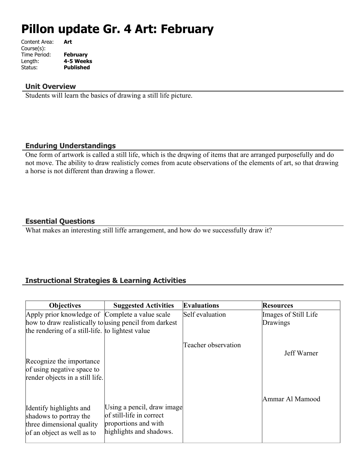# **Pillon update Gr. 4 Art: February**

| Content Area: | Art              |
|---------------|------------------|
| Course(s):    |                  |
| Time Period:  | <b>February</b>  |
| Length:       | 4-5 Weeks        |
| Status:       | <b>Published</b> |
|               |                  |

#### **Unit Overview**

Students will learn the basics of drawing a still life picture.

### **Enduring Understandings**

One form of artwork is called a still life, which is the drqwing of items that are arranged purposefully and do not move. The ability to draw realisticly comes from acute observations of the elements of art, so that drawing a horse is not different than drawing a flower.

## **Essential Questions**

What makes an interesting still liffe arrangement, and how do we successfully draw it?

## **Instructional Strategies & Learning Activities**

| <b>Objectives</b>                                             | <b>Suggested Activities</b>                            | <b>Evaluations</b>  | <b>Resources</b>     |
|---------------------------------------------------------------|--------------------------------------------------------|---------------------|----------------------|
| Apply prior knowledge of Complete a value scale               |                                                        | Self evaluation     | Images of Still Life |
| how to draw realistically to using pencil from darkest        |                                                        |                     | Drawings             |
| the rendering of a still-life. to lightest value              |                                                        |                     |                      |
|                                                               |                                                        | Teacher observation | Jeff Warner          |
| Recognize the importance                                      |                                                        |                     |                      |
| of using negative space to<br>render objects in a still life. |                                                        |                     |                      |
|                                                               |                                                        |                     |                      |
|                                                               |                                                        |                     | Ammar Al Mamood      |
| Identify highlights and                                       | Using a pencil, draw image<br>of still-life in correct |                     |                      |
| shadows to portray the<br>three dimensional quality           | proportions and with                                   |                     |                      |
| of an object as well as to                                    | highlights and shadows.                                |                     |                      |
|                                                               |                                                        |                     |                      |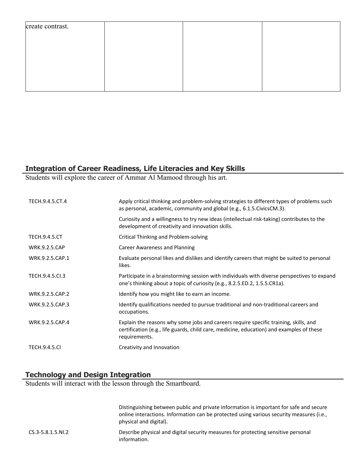## **Integration of Career Readiness, Life Literacies and Key Skills**

Students will explore the career of Ammar Al Mamood through his art.

| TECH.9.4.5.CT.4      | Apply critical thinking and problem-solving strategies to different types of problems such<br>as personal, academic, community and global (e.g., 6.1.5. Civics CM.3).                             |
|----------------------|---------------------------------------------------------------------------------------------------------------------------------------------------------------------------------------------------|
|                      | Curiosity and a willingness to try new ideas (intellectual risk-taking) contributes to the<br>development of creativity and innovation skills.                                                    |
| <b>TECH.9.4.5.CT</b> | Critical Thinking and Problem-solving                                                                                                                                                             |
| <b>WRK.9.2.5.CAP</b> | <b>Career Awareness and Planning</b>                                                                                                                                                              |
| WRK.9.2.5.CAP.1      | Evaluate personal likes and dislikes and identify careers that might be suited to personal<br>likes.                                                                                              |
| TECH.9.4.5.Cl.3      | Participate in a brainstorming session with individuals with diverse perspectives to expand<br>one's thinking about a topic of curiosity (e.g., 8.2.5.ED.2, 1.5.5.CR1a).                          |
| WRK.9.2.5.CAP.2      | Identify how you might like to earn an income.                                                                                                                                                    |
| WRK.9.2.5.CAP.3      | Identify qualifications needed to pursue traditional and non-traditional careers and<br>occupations.                                                                                              |
| WRK.9.2.5.CAP.4      | Explain the reasons why some jobs and careers require specific training, skills, and<br>certification (e.g., life guards, child care, medicine, education) and examples of these<br>requirements. |
| <b>TECH.9.4.5.CI</b> | Creativity and Innovation                                                                                                                                                                         |

## **Technology and Design Integration**

Students will interact with the lesson through the Smartboard.

|                        | Distinguishing between public and private information is important for safe and secure<br>online interactions. Information can be protected using various security measures (i.e.,<br>physical and digital). |
|------------------------|--------------------------------------------------------------------------------------------------------------------------------------------------------------------------------------------------------------|
| $CS.3 - 5.8.1.5. N1.2$ | Describe physical and digital security measures for protecting sensitive personal<br>information.                                                                                                            |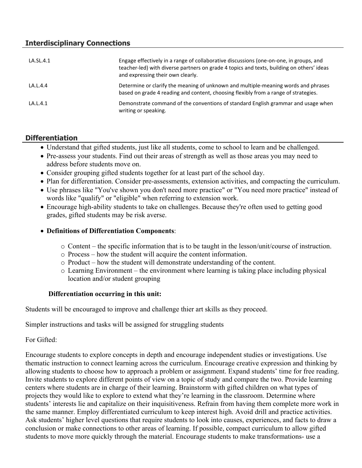## **Interdisciplinary Connections**

| LA.SL.4.1 | Engage effectively in a range of collaborative discussions (one-on-one, in groups, and<br>teacher-led) with diverse partners on grade 4 topics and texts, building on others' ideas<br>and expressing their own clearly. |
|-----------|--------------------------------------------------------------------------------------------------------------------------------------------------------------------------------------------------------------------------|
| LA.L.4.4  | Determine or clarify the meaning of unknown and multiple-meaning words and phrases<br>based on grade 4 reading and content, choosing flexibly from a range of strategies.                                                |
| LA.L.4.1  | Demonstrate command of the conventions of standard English grammar and usage when<br>writing or speaking.                                                                                                                |

## **Differentiation**

- Understand that gifted students, just like all students, come to school to learn and be challenged.
- Pre-assess your students. Find out their areas of strength as well as those areas you may need to address before students move on.
- Consider grouping gifted students together for at least part of the school day.
- Plan for differentiation. Consider pre-assessments, extension activities, and compacting the curriculum.
- Use phrases like "You've shown you don't need more practice" or "You need more practice" instead of words like "qualify" or "eligible" when referring to extension work.
- Encourage high-ability students to take on challenges. Because they're often used to getting good grades, gifted students may be risk averse.

#### **Definitions of Differentiation Components**:

- $\circ$  Content the specific information that is to be taught in the lesson/unit/course of instruction.
- o Process how the student will acquire the content information.
- o Product how the student will demonstrate understanding of the content.
- o Learning Environment the environment where learning is taking place including physical location and/or student grouping

#### **Differentiation occurring in this unit:**

Students will be encouraged to improve and challenge thier art skills as they proceed.

Simpler instructions and tasks will be assigned for struggling students

For Gifted:

Encourage students to explore concepts in depth and encourage independent studies or investigations. Use thematic instruction to connect learning across the curriculum. Encourage creative expression and thinking by allowing students to choose how to approach a problem or assignment. Expand students' time for free reading. Invite students to explore different points of view on a topic of study and compare the two. Provide learning centers where students are in charge of their learning. Brainstorm with gifted children on what types of projects they would like to explore to extend what they're learning in the classroom. Determine where students' interests lie and capitalize on their inquisitiveness. Refrain from having them complete more work in the same manner. Employ differentiated curriculum to keep interest high. Avoid drill and practice activities. Ask students' higher level questions that require students to look into causes, experiences, and facts to draw a conclusion or make connections to other areas of learning. If possible, compact curriculum to allow gifted students to move more quickly through the material. Encourage students to make transformations- use a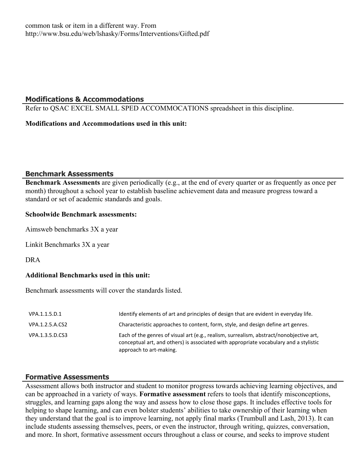#### **Modifications & Accommodations**

Refer to QSAC EXCEL SMALL SPED ACCOMMOCATIONS spreadsheet in this discipline.

#### **Modifications and Accommodations used in this unit:**

#### **Benchmark Assessments**

**Benchmark Assessments** are given periodically (e.g., at the end of every quarter or as frequently as once per month) throughout a school year to establish baseline achievement data and measure progress toward a standard or set of academic standards and goals.

#### **Schoolwide Benchmark assessments:**

Aimsweb benchmarks 3X a year

Linkit Benchmarks 3X a year

DRA

#### **Additional Benchmarks used in this unit:**

Benchmark assessments will cover the standards listed.

| VPA.1.1.5.D.1   | Identify elements of art and principles of design that are evident in everyday life.                                                                                                                        |
|-----------------|-------------------------------------------------------------------------------------------------------------------------------------------------------------------------------------------------------------|
| VPA.1.2.5.A.CS2 | Characteristic approaches to content, form, style, and design define art genres.                                                                                                                            |
| VPA.1.3.5.D.CS3 | Each of the genres of visual art (e.g., realism, surrealism, abstract/nonobjective art,<br>conceptual art, and others) is associated with appropriate vocabulary and a stylistic<br>approach to art-making. |

#### **Formative Assessments**

Assessment allows both instructor and student to monitor progress towards achieving learning objectives, and can be approached in a variety of ways. **Formative assessment** refers to tools that identify misconceptions, struggles, and learning gaps along the way and assess how to close those gaps. It includes effective tools for helping to shape learning, and can even bolster students' abilities to take ownership of their learning when they understand that the goal is to improve learning, not apply final marks (Trumbull and Lash, 2013). It can include students assessing themselves, peers, or even the instructor, through writing, quizzes, conversation, and more. In short, formative assessment occurs throughout a class or course, and seeks to improve student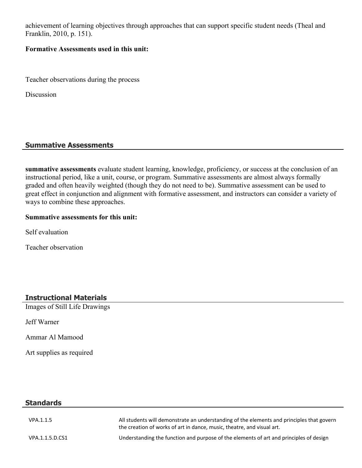achievement of learning objectives through approaches that can support specific student needs (Theal and Franklin, 2010, p. 151).

#### **Formative Assessments used in this unit:**

Teacher observations during the process

Discussion

## **Summative Assessments**

**summative assessments** evaluate student learning, knowledge, proficiency, or success at the conclusion of an instructional period, like a unit, course, or program. Summative assessments are almost always formally graded and often heavily weighted (though they do not need to be). Summative assessment can be used to great effect in conjunction and alignment with formative assessment, and instructors can consider a variety of ways to combine these approaches.

#### **Summative assessments for this unit:**

Self evaluation

Teacher observation

## **Instructional Materials**

Images of Still Life Drawings

Jeff Warner

Ammar Al Mamood

Art supplies as required

## **Standards**

| VPA.1.1.5       | All students will demonstrate an understanding of the elements and principles that govern<br>the creation of works of art in dance, music, theatre, and visual art. |
|-----------------|---------------------------------------------------------------------------------------------------------------------------------------------------------------------|
| VPA.1.1.5.D.CS1 | Understanding the function and purpose of the elements of art and principles of design                                                                              |